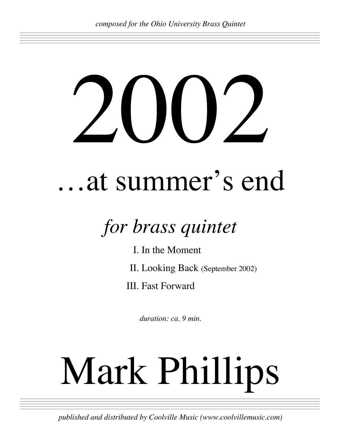==============================

# 200

## …at summer's end

### *for brass quintet*

- I. In the Moment
- II. Looking Back (September 2002)
- III. Fast Forward

*duration: ca. 9 min.*

# Mark Phillips

============================== *published and distributed by Coolville Music (www.coolvillemusic.com)*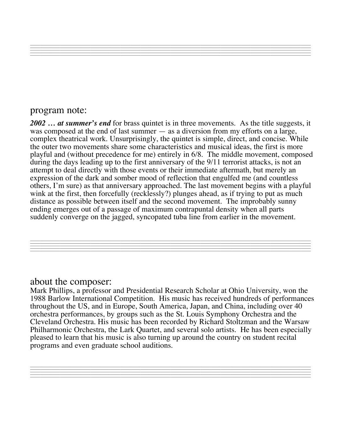### program note:

2002 ... *at summer's end* for brass quintet is in three movements. As the title suggests, it was composed at the end of last summer — as a diversion from my efforts on a large, complex theatrical work. Unsurprisingly, the quintet is simple, direct, and concise. While the outer two movements share some characteristics and musical ideas, the first is more playful and (without precedence for me) entirely in 6/8. The middle movement, composed during the days leading up to the first anniversary of the 9/11 terrorist attacks, is not an attempt to deal directly with those events or their immediate aftermath, but merely an expression of the dark and somber mood of reflection that engulfed me (and countless others, I'm sure) as that anniversary approached. The last movement begins with a playful wink at the first, then forcefully (recklessly?) plunges ahead, as if trying to put as much distance as possible between itself and the second movement. The improbably sunny ending emerges out of a passage of maximum contrapuntal density when all parts suddenly converge on the jagged, syncopated tuba line from earlier in the movement.

============================

### about the composer:

Mark Phillips, a professor and Presidential Research Scholar at Ohio University, won the 1988 Barlow International Competition. His music has received hundreds of performances throughout the US, and in Europe, South America, Japan, and China, including over 40 orchestra performances, by groups such as the St. Louis Symphony Orchestra and the Cleveland Orchestra. His music has been recorded by Richard Stoltzman and the Warsaw Philharmonic Orchestra, the Lark Quartet, and several solo artists. He has been especially pleased to learn that his music is also turning up around the country on student recital programs and even graduate school auditions.

============================

============================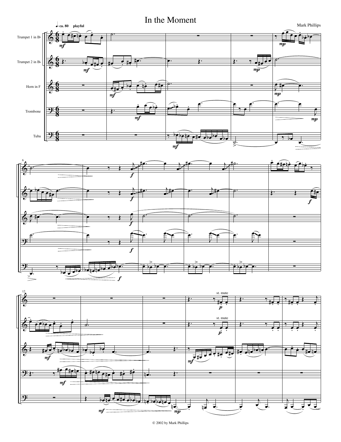



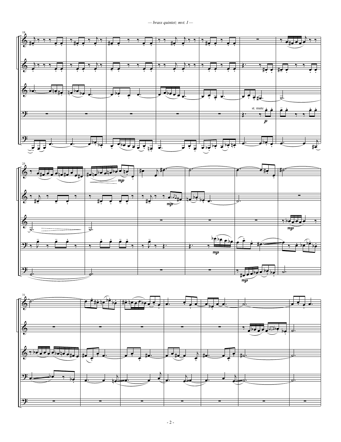



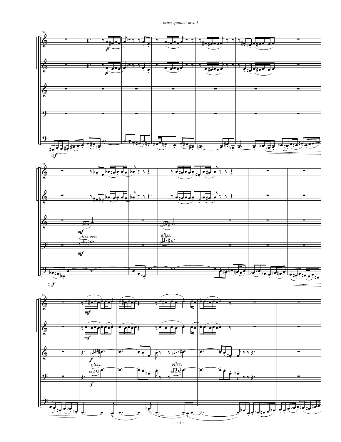$-$  brass quintet; mvt.  $I-$ 





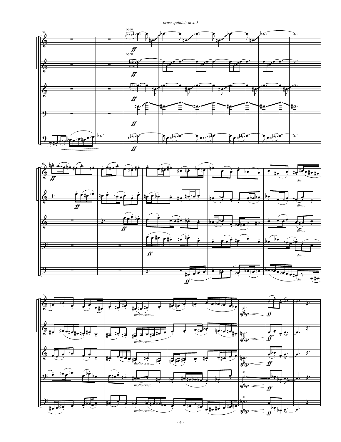$-$  brass quintet; mvt.  $I-$ 





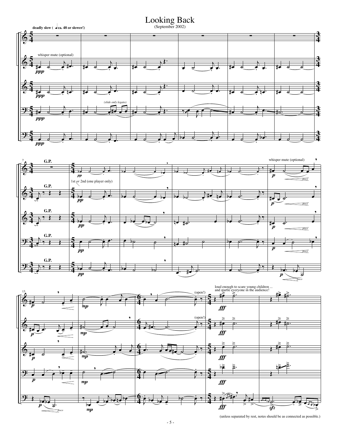

<sup>(</sup>unless separated by rest, notes should be as connected as possible.)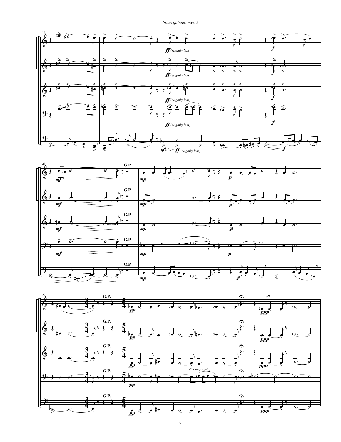$-$  brass quintet; mvt. 2 $-$ 







 $-6-$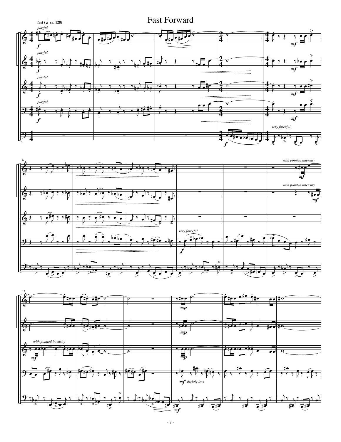



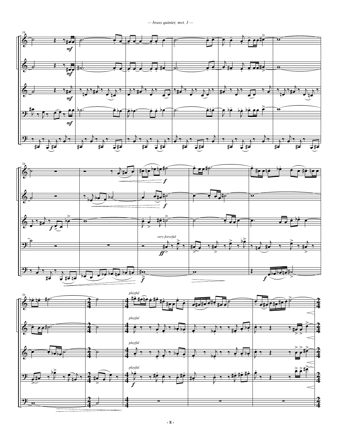*— brass quintet; mvt. 3 —*





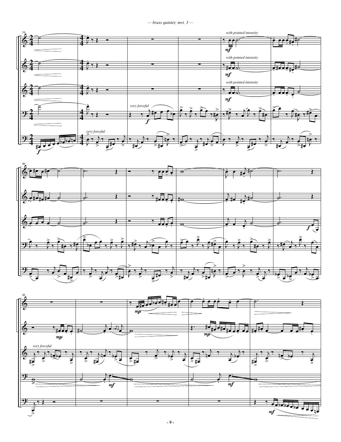



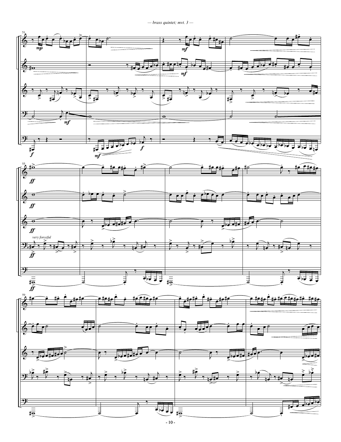